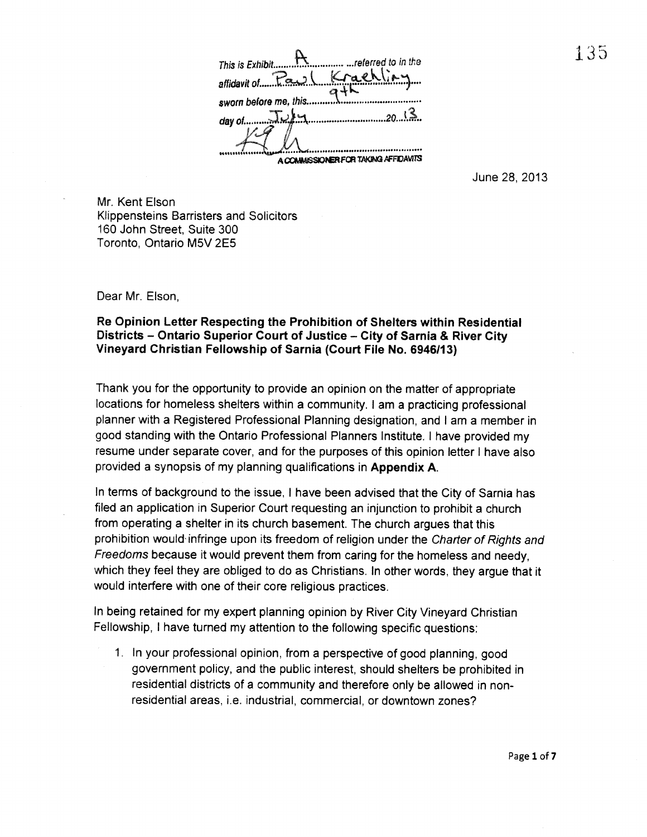This is Exhibit.................................referred to in the affidayitof .?-% cikL sworn before me. this day of.. 2Q... A COMMISSIONER FOR TAKING AFFIDAVITS

June 28, 2013

Mr. Kent Elson Klippensteins Barristers and Solicitors 160 John Street, Suite 300 Toronto, Ontario M5V 2E5

Dear Mr. Elson,

## Re Opinion Letter Respecting the Prohibition of Shelters within Residential Districts — Ontario Superior Court of Justice — City of Sarnia & River City Vineyard Christian Fellowship of Sarnia (Court File No. 6946/1 3)

Thank you for the opportunity to provide an opinion on the matter of appropriate locations for homeless shelters within a community. <sup>I</sup> am a practicing professional planner with a Registered Professional Planning designation, and <sup>I</sup> am a member in good standing with the Ontario Professional Planners Institute. <sup>I</sup> have provided my resume under separate cover, and for the purposes of this opinion letter <sup>I</sup> have also provided a synopsis of my planning qualifications in Appendix A.

In terms of background to the issue, <sup>I</sup> have been advised that the City of Sarnia has filed an application in Superior Court requesting an injunction to prohibit a church from operating a shelter in its church basement. The church argues that this prohibition would infringe upon its freedom of religion under the Charter of Rights and Freedoms because it would prevent them from caring for the homeless and needy, which they feel they are obliged to do as Christians. In other words, they argue that it would interfere with one of their core religious practices.

In being retained for my expert planning opinion by River City Vineyard Christian Fellowship, <sup>I</sup> have turned my attention to the following specific questions:

1. In your professional opinion, from a perspective of good planning, good government policy, and the public interest, should shelters be prohibited in residential districts of a community and therefore only be allowed in non residential areas, i.e. industrial, commercial, or downtown zones?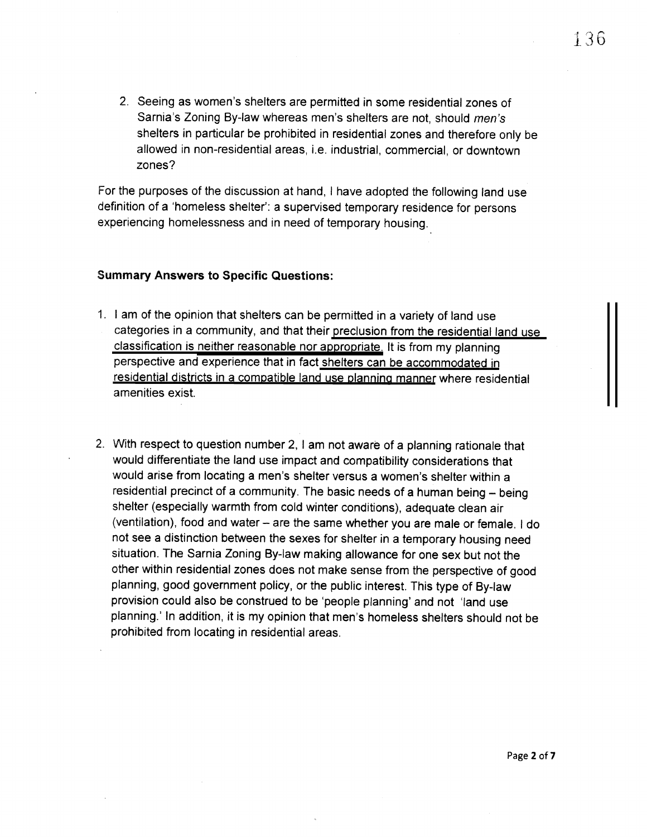2. Seeing as women's shelters are permitted in some residential zones of Sarnia's Zoning By-law whereas men's shelters are not, should men's shelters in particular be prohibited in residential zones and therefore only be allowed in non-residential areas, i.e. industrial, commercial, or downtown zones?

For the purposes of the discussion at hand, <sup>I</sup> have adopted the following land use definition of a homeless shelter': a supervised temporary residence for persons experiencing homelessness and in need of temporary housing.

## Summary Answers to Specific Questions:

- 1. <sup>I</sup> am of the opinion that shelters can be permitted in a variety of land use categories in a community, and that their preclusion from the residential land use classification is neither reasonable nor appropriate. It is from my planning perspective and experience that in fact shelters can be accommodated in residential districts in a compatible land use planning manner where residential amenities exist.
- 2. With respect to question number 2, <sup>I</sup> am not aware of a planning rationale that would differentiate the land use impact and compatibility considerations that would arise from locating a men's shelter versus a women's shelter within a residential precinct of a community. The basic needs of a human being — being shelter (especially warmth from cold winter conditions), adequate clean air (ventilation), food and water — are the same whether you are male or female. <sup>I</sup> do not see a distinction between the sexes for shelter in a temporary housing need situation. The Sarnia Zoning By-law making allowance for one sex but not the other within residential zones does not make sense from the perspective of good planning, good government policy, or the public interest. This type of By-law provision could also be construed to be 'people planning' and not 'land use planning.' In addition, it is my opinion that men's homeless shelters should not be prohibited from locating in residential areas.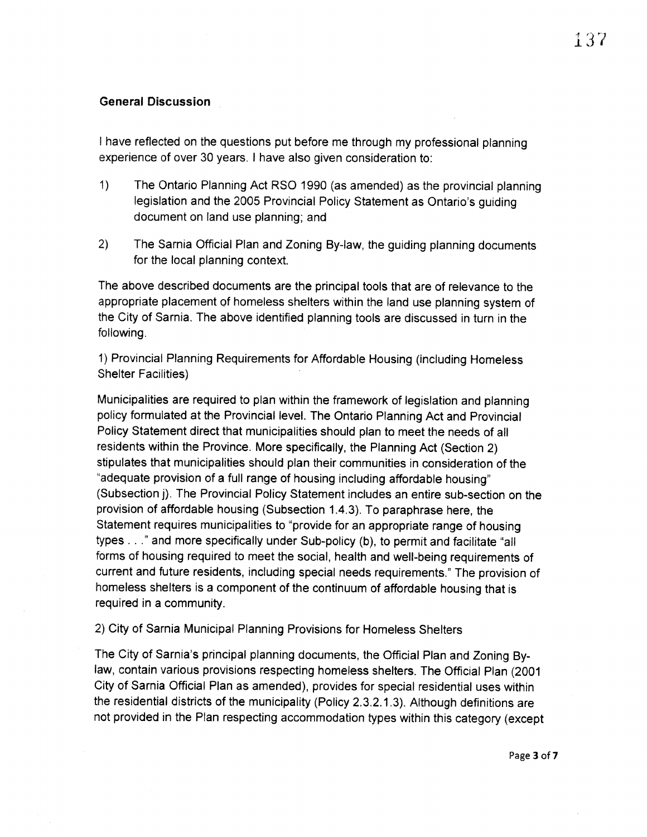# General Discussion

<sup>I</sup> have reflected on the questions put before me through my professional planning experience of over 30 years. <sup>I</sup> have also given consideration to:

- 1) The Ontario Planning Act RSO 1990 (as amended) as the provincial planning legislation and the 2005 Provincial Policy Statement as Ontario's guiding document on land use planning; and
- 2) The Sarnia Official Plan and Zoning By-law, the guiding planning documents for the local planning context.

The above described documents are the principal tools that are of relevance to the appropriate placement of homeless shelters within the land use planning system of the City of Sarnia. The above identified planning tools are discussed in turn in the following.

1) Provincial Planning Requirements for Affordable Housing (including Homeless Shelter Facilities)

Municipalities are required to plan within the framework of legislation and planning policy formulated at the Provincial level. The Ontario Planning Act and Provincial Policy Statement direct that municipalities should plan to meet the needs of all residents within the Province. More specifically, the Planning Act (Section 2) stipulates that municipalities should plan their communities in consideration of the "adequate provision of a full range of housing including affordable housing" (Subsection j). The Provincial Policy Statement includes an entire sub-section on the provision of affordable housing (Subsection 1.4.3). To paraphrase here, the Statement requires municipalities to "provide for an appropriate range of housing types. . ." and more specifically under Sub-policy (b), to permit and facilitate "all forms of housing required to meet the social, health and well-being requirements of current and future residents, including special needs requirements." The provision of homeless shelters is a component of the continuum of affordable housing that is required in a community.

## 2) City of Sarnia Municipal Planning Provisions for Homeless Shelters

The City of Sarnia's principal planning documents, the Official Plan and Zoning By law, contain various provisions respecting homeless shelters. The Official Plan (2001 City of Sarnia Official Plan as amended), provides for special residential uses within the residential districts of the municipality (Policy 2.3.2.1.3). Although definitions are not provided in the Plan respecting accommodation types within this category (except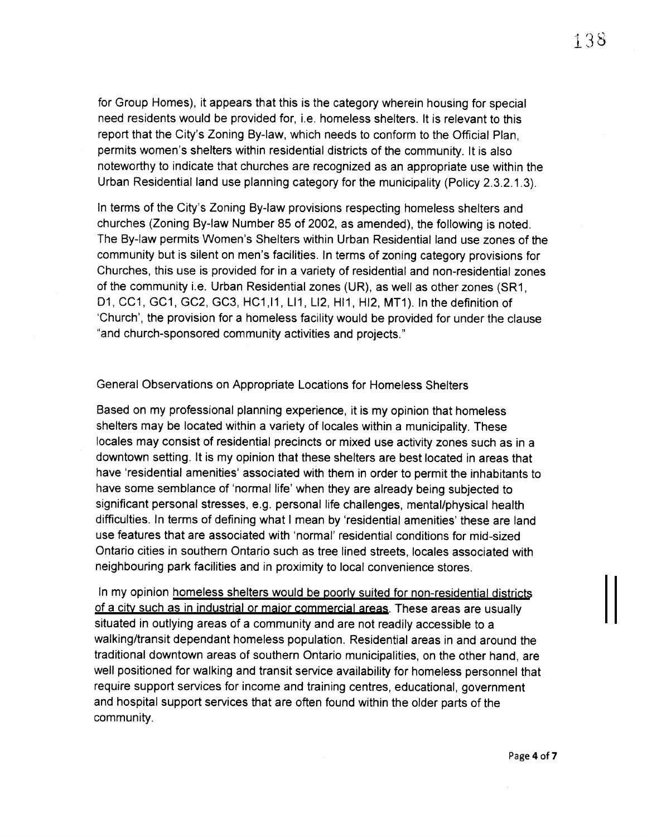for Group Homes), it appears that this is the category wherein housing for special need residents would be provided for, i.e. homeless shelters. It is relevant to this report that the City's Zoning By-law, which needs to conform to the Official Plan, permits women's shelters within residential districts of the community. It is also noteworthy to indicate that churches are recognized as an appropriate use within the Urban Residential land use planning category for the municipality (Policy 2.3.2.1.3).

In terms of the City's Zoning By-law provisions respecting homeless shelters and churches (Zoning By-law Number 85 of 2002, as amended), the following is noted. The By-law permits Women's Shelters within Urban Residential land use zones of the community but is silent on men's facilities. In terms of zoning category provisions for Churches, this use is provided for in a variety of residential and non-residential zones of the community i.e. Urban Residential zones (UR), as well as other zones (SRi, D1, CC1, GC1, GC2, GC3, HC1, 11, LI1, LI2, HI1, HI2, MT1). In the definition of Church', the provision for a homeless facility would be provided for under the clause "and church-sponsored community activities and projects."

#### General Observations on Appropriate Locations for Homeless Shelters

Based on my professional planning experience, it is my opinion that homeless shelters may be located within a variety of locales within a municipality. These locales may consist of residential precincts or mixed use activity zones such as in a downtown setting. It is my opinion that these shelters are best located in areas that have 'residential amenities' associated with them in order to permit the inhabitants to have some semblance of 'normal life' when they are already being subjected to significant personal stresses, e.g. personal life challenges, mental/physical health difficulties. In terms of defining what <sup>I</sup> mean by 'residential amenities' these are land use features that are associated with 'normal' residential conditions for mid-sized Ontario cities in southern Ontario such as tree lined streets, locales associated with neighbouring park facilities and in proximity to local convenience stores.

In my opinion homeless shelters would be poorly suited for non-residential districts of a city such as in industrial or major commercial areas. These areas are usually situated in outlying areas of a community and are not readily accessible to a walking/transit dependant homeless population. Residential areas in and around the traditional downtown areas of southern Ontario municipalities, on the other hand, are well positioned for walking and transit service availability for homeless personnel that require support services for income and training centres, educational, government and hospital support services that are often found within the older parts of the community.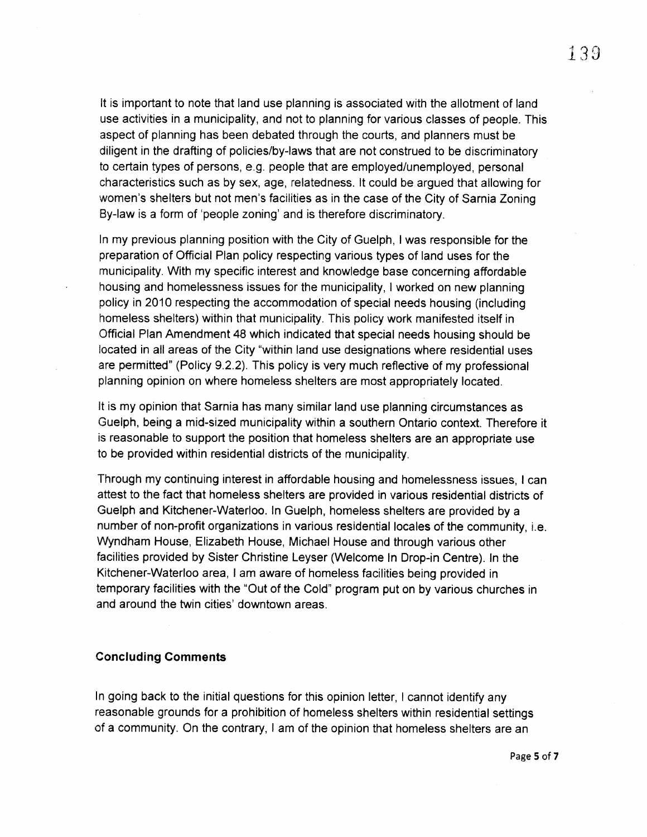It is important to note that land use planning is associated with the allotment of land use activities in a municipality, and not to planning for various classes of people. This aspect of planning has been debated through the courts, and planners must be diligent in the drafting of policies/by-laws that are not construed to be discriminatory to certain types of persons, e.g. people that are employed/unemployed, personal characteristics such as by sex, age, relatedness. It could be argued that allowing for women's shelters but not men's facilities as in the case of the City of Sarnia Zoning By-law is a form of 'people zoning' and is therefore discriminatory.

In my previous planning position with the City of Guelph, <sup>I</sup> was responsible for the preparation of Official Plan policy respecting various types of land uses for the municipality. With my specific interest and knowledge base concerning affordable housing and homelessness issues for the municipality, <sup>I</sup> worked on new planning policy in 2010 respecting the accommodation of special needs housing (including homeless shelters) within that municipality. This policy work manifested itself in Official Plan Amendment 48 which indicated that special needs housing should be located in all areas of the City "within land use designations where residential uses are permitted" (Policy 9.2.2). This policy is very much reflective of my professional planning opinion on where homeless shelters are most appropriately located.

It is my opinion that Sarnia has many similar land use planning circumstances as Gueiph, being a mid-sized municipality within a southern Ontario context. Therefore it is reasonable to support the position that homeless shelters are an appropriate use to be provided within residential districts of the municipality.

Through my continuing interest in affordable housing and homelessness issues, <sup>I</sup> can attest to the fact that homeless shelters are provided in various residential districts of Guelph and Kitchener-Waterloo. In Guelph, homeless shelters are provided by a number of non-profit organizations in various residential locales of the community, i.e. Wyndham House, Elizabeth House, Michael House and through various other facilities provided by Sister Christine Leyser (Welcome In Drop-in Centre). In the Kitchener-Waterloo area, <sup>I</sup> am aware of homeless facilities being provided in temporary facilities with the "Out of the Cold" program put on by various churches in and around the twin cities' downtown areas.

#### Concluding Comments

In going back to the initial questions for this opinion letter, <sup>I</sup> cannot identify any reasonable grounds for a prohibition of homeless shelters within residential settings of a community. On the contrary, <sup>I</sup> am of the opinion that homeless shelters are an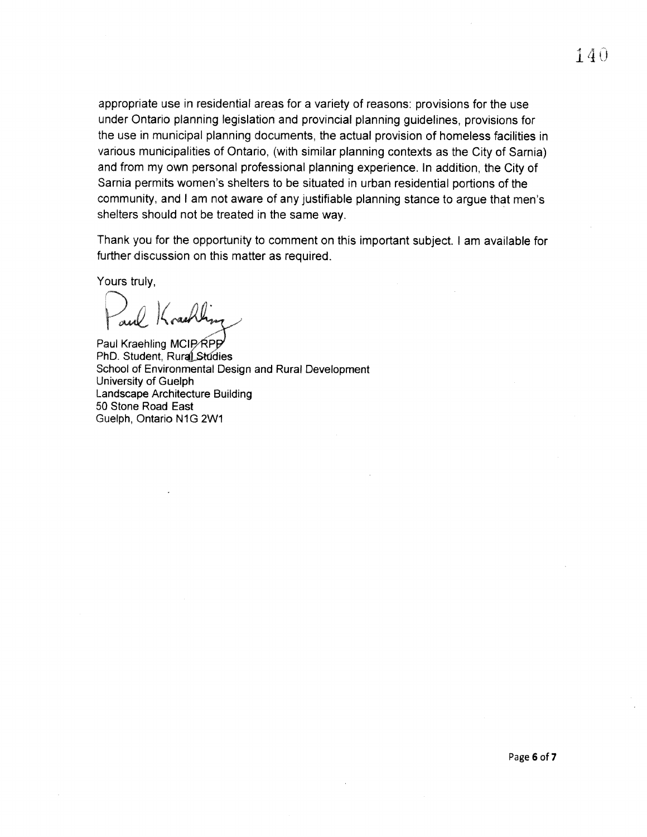appropriate use in residential areas for a variety of reasons: provisions for the use under Ontario planning legislation and provincial planning guidelines, provisions for the use in municipal planning documents, the actual provision of homeless facilities in various municipalities of Ontario, (with similar planning contexts as the City of Sarnia) and from my own personal professional planning experience. In addition, the City of Sarnia permits women's shelters to be situated in urban residential portions of the community, and <sup>I</sup> am not aware of any justifiable planning stance to argue that men's shelters should not be treated in the same way.

Thank you for the opportunity to comment on this important subject. <sup>I</sup> am available for further discussion on this matter as required.

Yours truly,

Paul

Paul Kraehling MCIP∕ RPP<sup>/</sup> PhD. Student, Rural Studies School of Environmental Design and Rural Development University of Guelph Landscape Architecture Building 50 Stone Road East Guelph, Ontario N1G 2W1